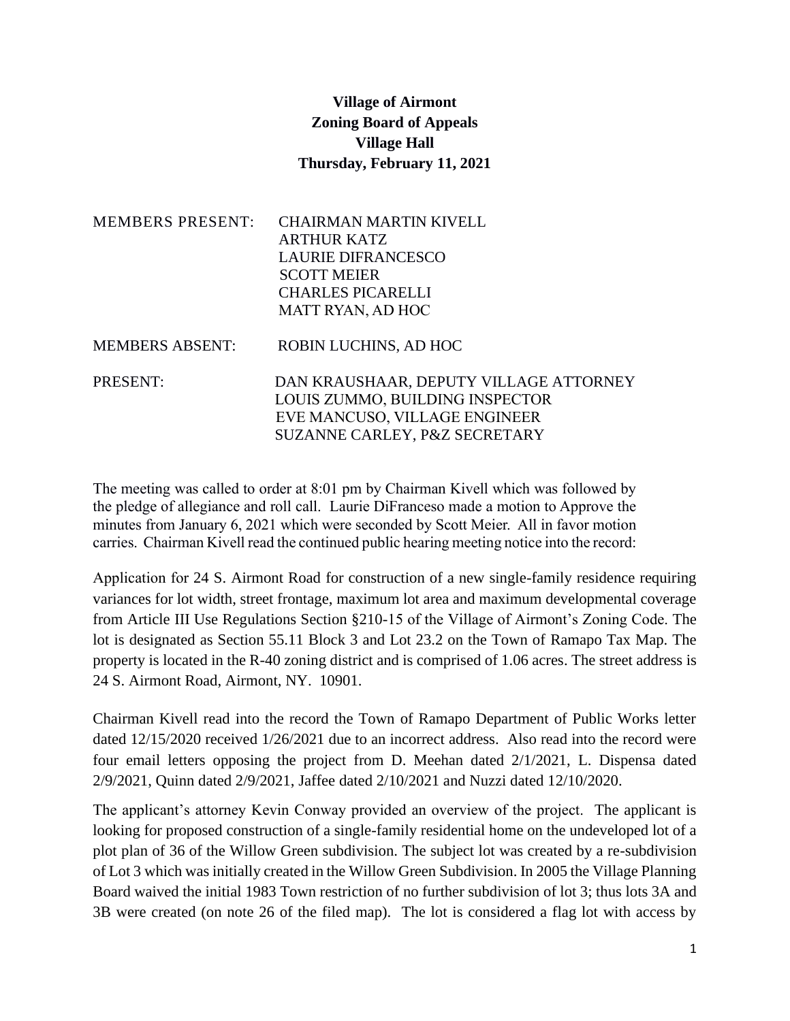## **Village of Airmont Zoning Board of Appeals Village Hall Thursday, February 11, 2021**

| <b>MEMBERS PRESENT:</b> | <b>CHAIRMAN MARTIN KIVELL</b><br><b>ARTHUR KATZ</b><br><b>LAURIE DIFRANCESCO</b><br><b>SCOTT MEIER</b><br><b>CHARLES PICARELLI</b><br><b>MATT RYAN, AD HOC</b> |
|-------------------------|----------------------------------------------------------------------------------------------------------------------------------------------------------------|
| <b>MEMBERS ABSENT:</b>  | ROBIN LUCHINS, AD HOC                                                                                                                                          |
| <b>PRESENT:</b>         | DAN KRAUSHAAR, DEPUTY VILLAGE ATTORNEY<br>LOUIS ZUMMO, BUILDING INSPECTOR<br>EVE MANCUSO, VILLAGE ENGINEER<br>SUZANNE CARLEY, P&Z SECRETARY                    |

The meeting was called to order at 8:01 pm by Chairman Kivell which was followed by the pledge of allegiance and roll call. Laurie DiFranceso made a motion to Approve the minutes from January 6, 2021 which were seconded by Scott Meier. All in favor motion carries. Chairman Kivell read the continued public hearing meeting notice into the record:

Application for 24 S. Airmont Road for construction of a new single-family residence requiring variances for lot width, street frontage, maximum lot area and maximum developmental coverage from Article III Use Regulations Section §210-15 of the Village of Airmont's Zoning Code. The lot is designated as Section 55.11 Block 3 and Lot 23.2 on the Town of Ramapo Tax Map. The property is located in the R-40 zoning district and is comprised of 1.06 acres. The street address is 24 S. Airmont Road, Airmont, NY. 10901.

Chairman Kivell read into the record the Town of Ramapo Department of Public Works letter dated 12/15/2020 received 1/26/2021 due to an incorrect address. Also read into the record were four email letters opposing the project from D. Meehan dated 2/1/2021, L. Dispensa dated 2/9/2021, Quinn dated 2/9/2021, Jaffee dated 2/10/2021 and Nuzzi dated 12/10/2020.

The applicant's attorney Kevin Conway provided an overview of the project. The applicant is looking for proposed construction of a single-family residential home on the undeveloped lot of a plot plan of 36 of the Willow Green subdivision. The subject lot was created by a re-subdivision of Lot 3 which was initially created in the Willow Green Subdivision. In 2005 the Village Planning Board waived the initial 1983 Town restriction of no further subdivision of lot 3; thus lots 3A and 3B were created (on note 26 of the filed map). The lot is considered a flag lot with access by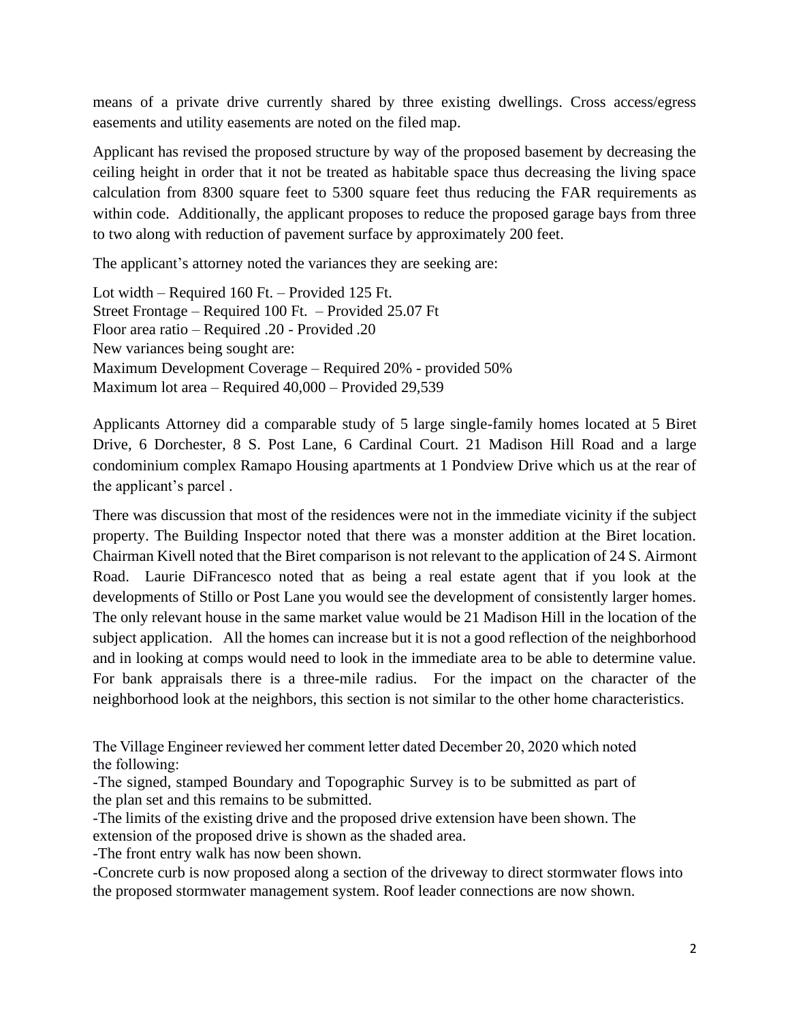means of a private drive currently shared by three existing dwellings. Cross access/egress easements and utility easements are noted on the filed map.

Applicant has revised the proposed structure by way of the proposed basement by decreasing the ceiling height in order that it not be treated as habitable space thus decreasing the living space calculation from 8300 square feet to 5300 square feet thus reducing the FAR requirements as within code. Additionally, the applicant proposes to reduce the proposed garage bays from three to two along with reduction of pavement surface by approximately 200 feet.

The applicant's attorney noted the variances they are seeking are:

Lot width – Required 160 Ft. – Provided 125 Ft. Street Frontage – Required 100 Ft. – Provided 25.07 Ft Floor area ratio – Required .20 - Provided .20 New variances being sought are: Maximum Development Coverage – Required 20% - provided 50% Maximum lot area – Required 40,000 – Provided 29,539

Applicants Attorney did a comparable study of 5 large single-family homes located at 5 Biret Drive, 6 Dorchester, 8 S. Post Lane, 6 Cardinal Court. 21 Madison Hill Road and a large condominium complex Ramapo Housing apartments at 1 Pondview Drive which us at the rear of the applicant's parcel .

There was discussion that most of the residences were not in the immediate vicinity if the subject property. The Building Inspector noted that there was a monster addition at the Biret location. Chairman Kivell noted that the Biret comparison is not relevant to the application of 24 S. Airmont Road. Laurie DiFrancesco noted that as being a real estate agent that if you look at the developments of Stillo or Post Lane you would see the development of consistently larger homes. The only relevant house in the same market value would be 21 Madison Hill in the location of the subject application. All the homes can increase but it is not a good reflection of the neighborhood and in looking at comps would need to look in the immediate area to be able to determine value. For bank appraisals there is a three-mile radius. For the impact on the character of the neighborhood look at the neighbors, this section is not similar to the other home characteristics.

The Village Engineer reviewed her comment letter dated December 20, 2020 which noted the following:

-The signed, stamped Boundary and Topographic Survey is to be submitted as part of the plan set and this remains to be submitted.

-The limits of the existing drive and the proposed drive extension have been shown. The extension of the proposed drive is shown as the shaded area.

-The front entry walk has now been shown.

-Concrete curb is now proposed along a section of the driveway to direct stormwater flows into the proposed stormwater management system. Roof leader connections are now shown.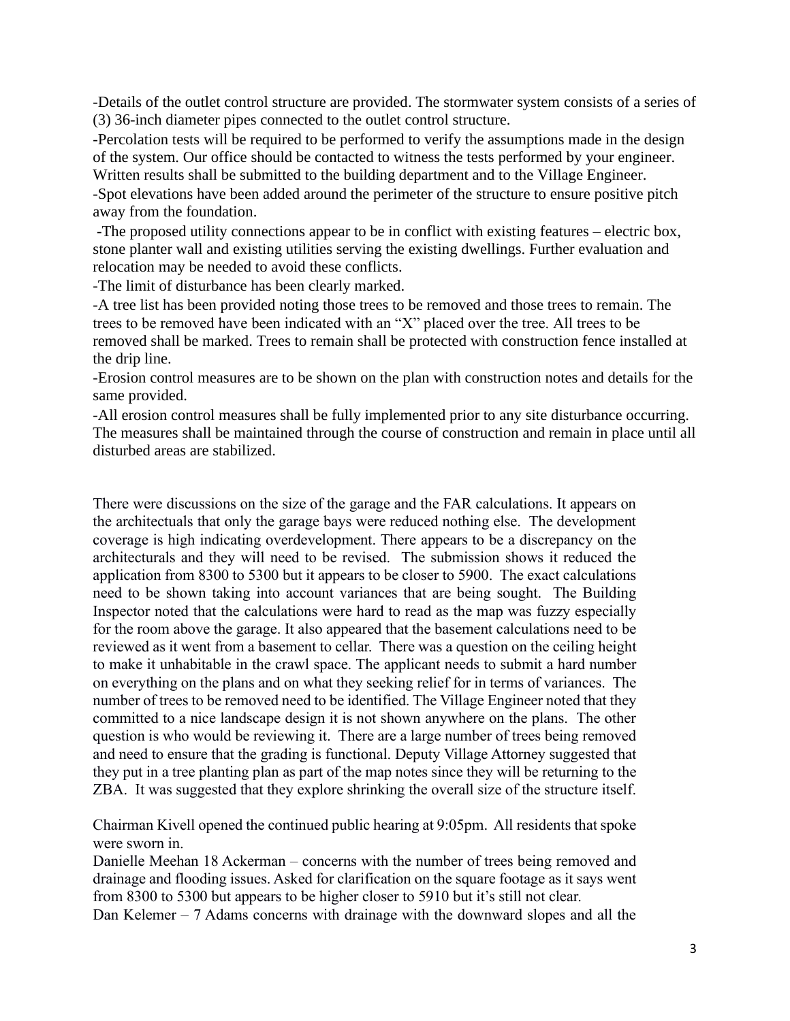-Details of the outlet control structure are provided. The stormwater system consists of a series of (3) 36-inch diameter pipes connected to the outlet control structure.

-Percolation tests will be required to be performed to verify the assumptions made in the design of the system. Our office should be contacted to witness the tests performed by your engineer. Written results shall be submitted to the building department and to the Village Engineer.

-Spot elevations have been added around the perimeter of the structure to ensure positive pitch away from the foundation.

-The proposed utility connections appear to be in conflict with existing features – electric box, stone planter wall and existing utilities serving the existing dwellings. Further evaluation and relocation may be needed to avoid these conflicts.

-The limit of disturbance has been clearly marked.

-A tree list has been provided noting those trees to be removed and those trees to remain. The trees to be removed have been indicated with an "X" placed over the tree. All trees to be removed shall be marked. Trees to remain shall be protected with construction fence installed at the drip line.

-Erosion control measures are to be shown on the plan with construction notes and details for the same provided.

-All erosion control measures shall be fully implemented prior to any site disturbance occurring. The measures shall be maintained through the course of construction and remain in place until all disturbed areas are stabilized.

There were discussions on the size of the garage and the FAR calculations. It appears on the architectuals that only the garage bays were reduced nothing else. The development coverage is high indicating overdevelopment. There appears to be a discrepancy on the architecturals and they will need to be revised. The submission shows it reduced the application from 8300 to 5300 but it appears to be closer to 5900. The exact calculations need to be shown taking into account variances that are being sought. The Building Inspector noted that the calculations were hard to read as the map was fuzzy especially for the room above the garage. It also appeared that the basement calculations need to be reviewed as it went from a basement to cellar. There was a question on the ceiling height to make it unhabitable in the crawl space. The applicant needs to submit a hard number on everything on the plans and on what they seeking relief for in terms of variances. The number of trees to be removed need to be identified. The Village Engineer noted that they committed to a nice landscape design it is not shown anywhere on the plans. The other question is who would be reviewing it. There are a large number of trees being removed and need to ensure that the grading is functional. Deputy Village Attorney suggested that they put in a tree planting plan as part of the map notes since they will be returning to the ZBA. It was suggested that they explore shrinking the overall size of the structure itself.

Chairman Kivell opened the continued public hearing at 9:05pm. All residents that spoke were sworn in.

Danielle Meehan 18 Ackerman – concerns with the number of trees being removed and drainage and flooding issues. Asked for clarification on the square footage as it says went from 8300 to 5300 but appears to be higher closer to 5910 but it's still not clear.

Dan Kelemer – 7 Adams concerns with drainage with the downward slopes and all the